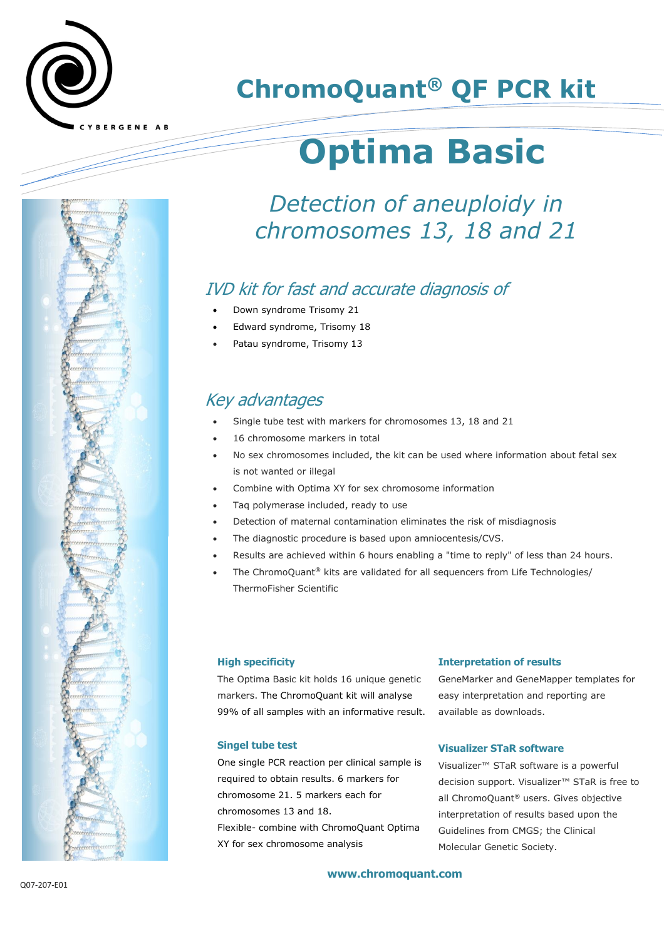

# **ChromoQuant® QF PCR kit**

# **Optima Basic**

## *Detection of aneuploidy in chromosomes 13, 18 and 21*

## IVD kit for fast and accurate diagnosis of

- Down syndrome Trisomy 21
- Edward syndrome, Trisomy 18
- Patau syndrome, Trisomy 13

### Key advantages

- Single tube test with markers for chromosomes 13, 18 and 21
- 16 chromosome markers in total
- No sex chromosomes included, the kit can be used where information about fetal sex is not wanted or illegal
- Combine with Optima XY for sex chromosome information
- Taq polymerase included, ready to use
- Detection of maternal contamination eliminates the risk of misdiagnosis
- The diagnostic procedure is based upon amniocentesis/CVS.
- Results are achieved within 6 hours enabling a "time to reply" of less than 24 hours.
- The ChromoQuant® kits are validated for all sequencers from Life Technologies/ ThermoFisher Scientific

#### **High specificity**

The Optima Basic kit holds 16 unique genetic markers. The ChromoQuant kit will analyse 99% of all samples with an informative result.

#### **Interpretation of results**

GeneMarker and GeneMapper templates for easy interpretation and reporting are available as downloads.

#### **Singel tube test**

One single PCR reaction per clinical sample is required to obtain results. 6 markers for chromosome 21. 5 markers each for chromosomes 13 and 18. Flexible- combine with ChromoQuant Optima XY for sex chromosome analysis

#### **Visualizer STaR software**

Visualizer™ STaR software is a powerful decision support. Visualizer™ STaR is free to all ChromoQuant® users. Gives objective interpretation of results based upon the Guidelines from CMGS; the Clinical Molecular Genetic Society.